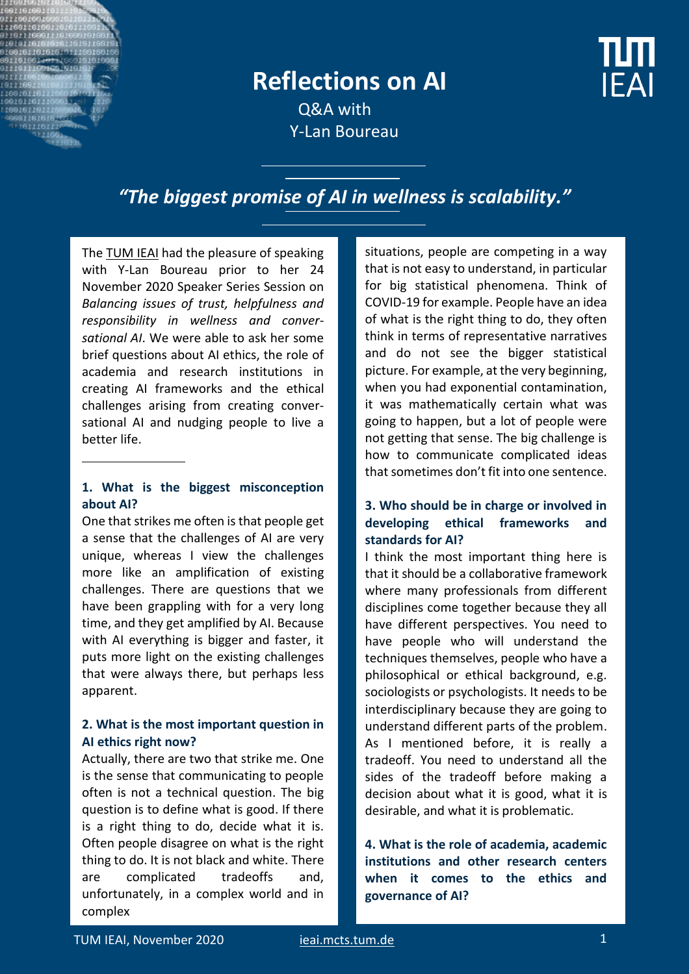## **Reflections on AI**

Q&A with Y-Lan Boureau

### *"The biggest promise of AI in wellness is scalability."*

Th[e TUM IEAI](https://ieai.mcts.tum.de/) had the pleasure of speaking with Y-Lan Boureau prior to her 24 November 2020 Speaker Series Session on *Balancing issues of trust, helpfulness and responsibility in wellness and conversational AI*. We were able to ask her some brief questions about AI ethics, the role of academia and research institutions in creating AI frameworks and the ethical challenges arising from creating conversational AI and nudging people to live a better life.

#### **1. What is the biggest misconception about AI?**

One that strikes me often is that people get a sense that the challenges of AI are very unique, whereas I view the challenges more like an amplification of existing challenges. There are questions that we have been grappling with for a very long time, and they get amplified by AI. Because with AI everything is bigger and faster, it puts more light on the existing challenges that were always there, but perhaps less apparent.

#### **2. What is the most important question in AI ethics right now?**

Actually, there are two that strike me. One is the sense that communicating to people often is not a technical question. The big question is to define what is good. If there is a right thing to do, decide what it is. Often people disagree on what is the right thing to do. It is not black and white. There are complicated tradeoffs and, unfortunately, in a complex world and in complex

situations, people are competing in a way that is not easy to understand, in particular for big statistical phenomena. Think of COVID-19 for example. People have an idea of what is the right thing to do, they often think in terms of representative narratives and do not see the bigger statistical picture. For example, at the very beginning, when you had exponential contamination, it was mathematically certain what was going to happen, but a lot of people were not getting that sense. The big challenge is how to communicate complicated ideas that sometimes don't fit into one sentence.

#### **3. Who should be in charge or involved in developing ethical frameworks and standards for AI?**

I think the most important thing here is that it should be a collaborative framework where many professionals from different disciplines come together because they all have different perspectives. You need to have people who will understand the techniques themselves, people who have a philosophical or ethical background, e.g. sociologists or psychologists. It needs to be interdisciplinary because they are going to understand different parts of the problem. As I mentioned before, it is really a tradeoff. You need to understand all the sides of the tradeoff before making a decision about what it is good, what it is desirable, and what it is problematic.

**4. What is the role of academia, academic institutions and other research centers when it comes to the ethics and governance of AI?**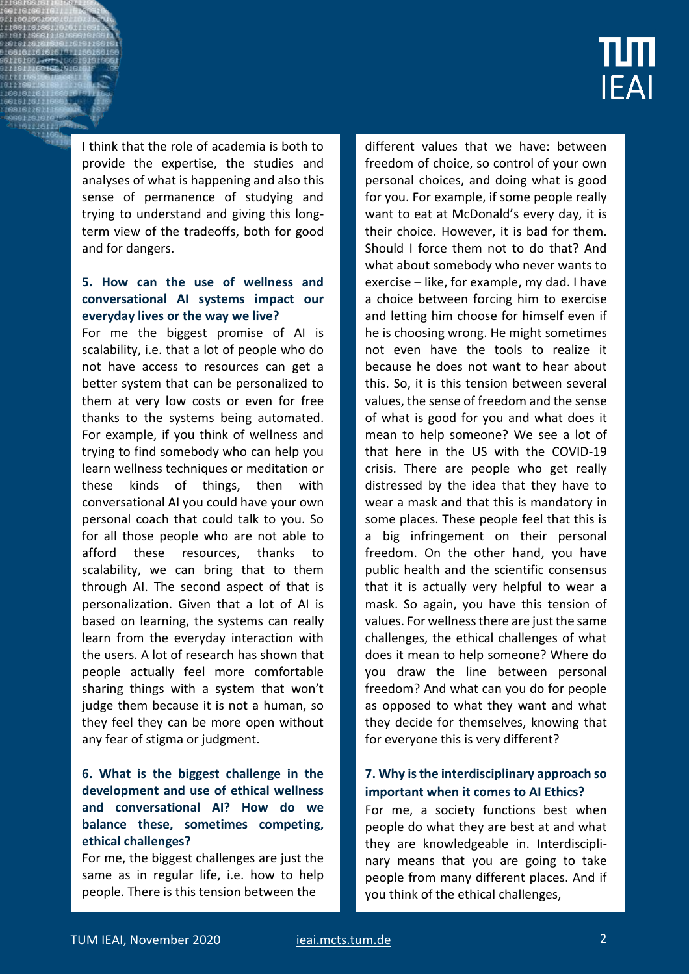# <u>num</u> **IEAI**

I think that the role of academia is both to provide the expertise, the studies and analyses of what is happening and also this sense of permanence of studying and trying to understand and giving this longterm view of the tradeoffs, both for good and for dangers.

#### **5. How can the use of wellness and conversational AI systems impact our everyday lives or the way we live?**

For me the biggest promise of AI is scalability, i.e. that a lot of people who do not have access to resources can get a better system that can be personalized to them at very low costs or even for free thanks to the systems being automated. For example, if you think of wellness and trying to find somebody who can help you learn wellness techniques or meditation or these kinds of things, then with conversational AI you could have your own personal coach that could talk to you. So for all those people who are not able to afford these resources, thanks to scalability, we can bring that to them through AI. The second aspect of that is personalization. Given that a lot of AI is based on learning, the systems can really learn from the everyday interaction with the users. A lot of research has shown that people actually feel more comfortable sharing things with a system that won't judge them because it is not a human, so they feel they can be more open without any fear of stigma or judgment.

#### **6. What is the biggest challenge in the development and use of ethical wellness and conversational AI? How do we balance these, sometimes competing, ethical challenges?**

For me, the biggest challenges are just the same as in regular life, i.e. how to help people. There is this tension between the

different values that we have: between freedom of choice, so control of your own personal choices, and doing what is good for you. For example, if some people really want to eat at McDonald's every day, it is their choice. However, it is bad for them. Should I force them not to do that? And what about somebody who never wants to exercise – like, for example, my dad. I have a choice between forcing him to exercise and letting him choose for himself even if he is choosing wrong. He might sometimes not even have the tools to realize it because he does not want to hear about this. So, it is this tension between several values, the sense of freedom and the sense of what is good for you and what does it mean to help someone? We see a lot of that here in the US with the COVID-19 crisis. There are people who get really distressed by the idea that they have to wear a mask and that this is mandatory in some places. These people feel that this is a big infringement on their personal freedom. On the other hand, you have public health and the scientific consensus that it is actually very helpful to wear a mask. So again, you have this tension of values. For wellness there are just the same challenges, the ethical challenges of what does it mean to help someone? Where do you draw the line between personal freedom? And what can you do for people as opposed to what they want and what they decide for themselves, knowing that for everyone this is very different?

#### **7. Why is the interdisciplinary approach so important when it comes to AI Ethics?**

For me, a society functions best when people do what they are best at and what they are knowledgeable in. Interdisciplinary means that you are going to take people from many different places. And if you think of the ethical challenges,